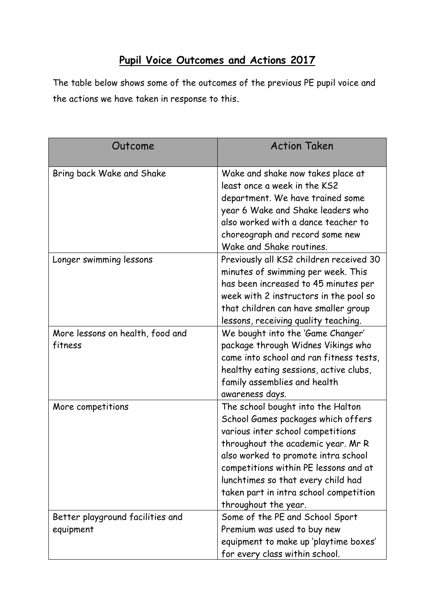## **Pupil Voice Outcomes and Actions 2017**

The table below shows some of the outcomes of the previous PE pupil voice and the actions we have taken in response to this.

| Outcome                                       | <b>Action Taken</b>                                                                                                                                                                                                                                                                                                                        |
|-----------------------------------------------|--------------------------------------------------------------------------------------------------------------------------------------------------------------------------------------------------------------------------------------------------------------------------------------------------------------------------------------------|
| Bring back Wake and Shake                     | Wake and shake now takes place at<br>least once a week in the KS2<br>department. We have trained some<br>year 6 Wake and Shake leaders who<br>also worked with a dance teacher to<br>choreograph and record some new<br>Wake and Shake routines.                                                                                           |
| Longer swimming lessons                       | Previously all KS2 children received 30<br>minutes of swimming per week. This<br>has been increased to 45 minutes per<br>week with 2 instructors in the pool so<br>that children can have smaller group<br>lessons, receiving quality teaching.                                                                                            |
| More lessons on health, food and<br>fitness   | We bought into the 'Game Changer'<br>package through Widnes Vikings who<br>came into school and ran fitness tests,<br>healthy eating sessions, active clubs,<br>family assemblies and health<br>awareness days.                                                                                                                            |
| More competitions                             | The school bought into the Halton<br>School Games packages which offers<br>various inter school competitions<br>throughout the academic year. Mr R<br>also worked to promote intra school<br>competitions within PE lessons and at<br>lunchtimes so that every child had<br>taken part in intra school competition<br>throughout the year. |
| Better playground facilities and<br>equipment | Some of the PE and School Sport<br>Premium was used to buy new<br>equipment to make up 'playtime boxes'<br>for every class within school.                                                                                                                                                                                                  |